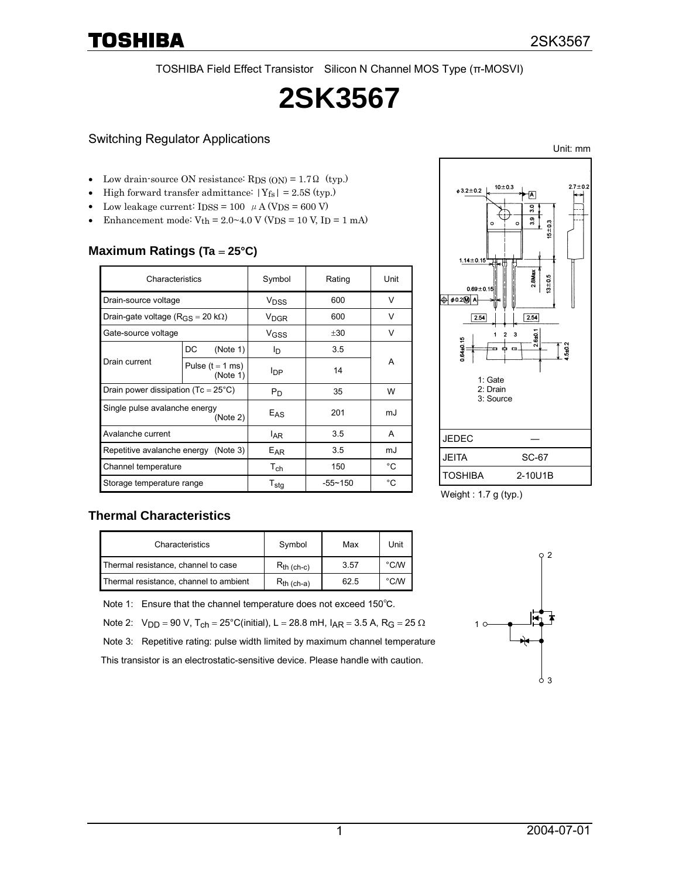TOSHIBA Field Effect Transistor Silicon N Channel MOS Type (π-MOSVI)

# **2SK3567**

### Switching Regulator Applications

- Low drain-source ON resistance:  $RDS (ON) = 1.7 \Omega$  (typ.)
- High forward transfer admittance:  $|Y_{fs}| = 2.5S$  (typ.)
- Low leakage current:  $I DSS = 100 \mu A (VDS = 600 V)$
- Enhancement mode:  $V_{th} = 2.0 \sim 4.0$  V (V<sub>DS</sub> = 10 V, I<sub>D</sub> = 1 mA)

### **Maximum Ratings (Ta** = **25°C)**

| Characteristics                                     |                                | Symbol                 | Rating      | Unit |  |
|-----------------------------------------------------|--------------------------------|------------------------|-------------|------|--|
| Drain-source voltage                                |                                | V <sub>DSS</sub>       | 600         | V    |  |
| Drain-gate voltage ( $R_{\rm GS}$ = 20 k $\Omega$ ) |                                | <b>V<sub>DGR</sub></b> | 600         | V    |  |
| Gate-source voltage                                 |                                | V <sub>GSS</sub>       | ±30         | V    |  |
| Drain current                                       | (Note 1)<br>DC                 | lD.                    | 3.5         |      |  |
|                                                     | Pulse $(t = 1$ ms)<br>(Note 1) | <b>I</b> DP            | 14          | A    |  |
| Drain power dissipation (Tc = $25^{\circ}$ C)       |                                | $P_D$                  | 35          | W    |  |
| Single pulse avalanche energy<br>(Note 2)           |                                | $E_{AS}$               | 201         | mJ   |  |
| Avalanche current                                   |                                | <sup>I</sup> AR        | 3.5         | A    |  |
| Repetitive avalanche energy (Note 3)                |                                | EAR                    | 3.5         | mJ   |  |
| Channel temperature                                 |                                | $T_{ch}$               | 150         | °C   |  |
| Storage temperature range                           |                                | $T_{\text{stg}}$       | $-55 - 150$ | °C   |  |



Weight : 1.7 g (typ.)

#### **Thermal Characteristics**

| Characteristics                        | Symbol          | Max  | Unit           |
|----------------------------------------|-----------------|------|----------------|
| Thermal resistance, channel to case    | $R_{th (ch-c)}$ | 3.57 | $^{\circ}$ C/W |
| Thermal resistance, channel to ambient | $R_{th (ch-a)}$ | 62.5 | $^{\circ}$ C/W |

Note 1: Ensure that the channel temperature does not exceed 150℃.

Note 2:  $V_{DD} = 90 V$ ,  $T_{ch} = 25^{\circ}C (initial)$ ,  $L = 28.8$  mH,  $I_{AR} = 3.5$  A,  $R_G = 25 \Omega$ 

Note 3: Repetitive rating: pulse width limited by maximum channel temperature

This transistor is an electrostatic-sensitive device. Please handle with caution.



Unit: mm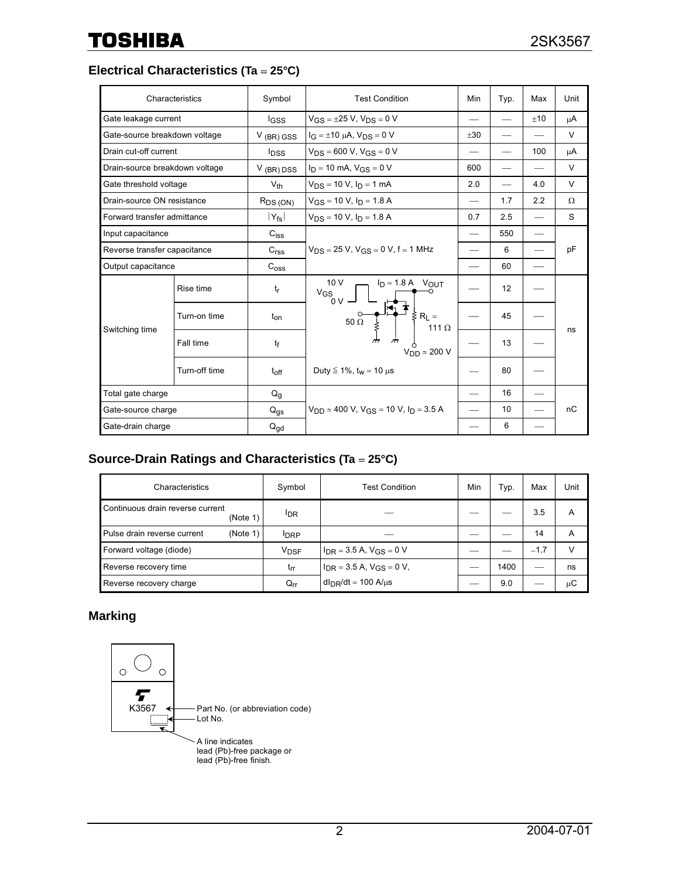# **Electrical Characteristics (Ta** = **25°C)**

|                                | Characteristics | Symbol                     | <b>Test Condition</b>                                                                                                             | Min                      | Typ.              | Max   | Unit     |
|--------------------------------|-----------------|----------------------------|-----------------------------------------------------------------------------------------------------------------------------------|--------------------------|-------------------|-------|----------|
| Gate leakage current           |                 | <b>IGSS</b>                | $V_{GS} = \pm 25$ V, $V_{DS} = 0$ V                                                                                               | $\overline{\phantom{0}}$ |                   | $+10$ | μA       |
| Gate-source breakdown voltage  |                 | $V$ (BR) GSS               | $I_G = \pm 10 \mu A$ , $V_{DS} = 0 V$                                                                                             | $+30$                    |                   |       | $\vee$   |
| Drain cut-off current          |                 | <b>l</b> <sub>DSS</sub>    | $V_{DS}$ = 600 V, $V_{GS}$ = 0 V                                                                                                  |                          |                   | 100   | μA       |
| Drain-source breakdown voltage |                 | $V$ (BR) DSS               | $I_D = 10$ mA, $V_{GS} = 0$ V                                                                                                     | 600                      |                   |       | $\vee$   |
| Gate threshold voltage         |                 | $V_{th}$                   | $V_{DS}$ = 10 V, $I_D$ = 1 mA                                                                                                     | 2.0                      |                   | 4.0   | $\vee$   |
| Drain-source ON resistance     |                 | $R_{DS(ON)}$               | $V_{GS}$ = 10 V, $I_D$ = 1.8 A                                                                                                    | $\overline{\phantom{0}}$ | 1.7               | 2.2   | $\Omega$ |
| Forward transfer admittance    |                 | $ Y_{\mathsf{fs}} $        | $V_{DS}$ = 10 V, $I_D$ = 1.8 A                                                                                                    | 0.7                      | 2.5               |       | S        |
| Input capacitance              |                 | $C_{\text{iss}}$           |                                                                                                                                   | $\overline{\phantom{0}}$ | 550               |       |          |
| Reverse transfer capacitance   |                 | C <sub>rss</sub>           | $V_{DS}$ = 25 V, $V_{GS}$ = 0 V, f = 1 MHz                                                                                        |                          | 6                 |       | pF       |
| Output capacitance             |                 | C <sub>oss</sub>           |                                                                                                                                   |                          | 60                |       |          |
| Switching time                 | Rise time       | $t_{\rm r}$                | 10V<br>$I_D = 1.8 A$ VOUT<br>$V_{GS}$<br>$0V -$<br>$\leq R_L =$<br>$50\,\mathrm{\Omega}$<br>111 $\Omega$<br>$V_{DD} \simeq 200$ V |                          | $12 \overline{ }$ |       | ns       |
|                                | Turn-on time    | $t_{on}$                   |                                                                                                                                   |                          | 45                |       |          |
|                                | Fall time       | tf                         |                                                                                                                                   |                          | 13                |       |          |
|                                | Turn-off time   | $t_{off}$                  | Duty ≤ 1%, $t_w$ = 10 µs                                                                                                          |                          | 80                |       |          |
| Total gate charge              |                 | $Q_g$                      |                                                                                                                                   |                          | 16                |       |          |
| Gate-source charge             |                 | $Q_{\text{gs}}$            | $V_{DD} \simeq 400$ V, $V_{GS} = 10$ V, $I_D = 3.5$ A                                                                             |                          | 10                |       | nC       |
| Gate-drain charge              |                 | $\mathsf{Q}_{\mathsf{gd}}$ |                                                                                                                                   |                          | 6                 |       |          |

# **Source-Drain Ratings and Characteristics (Ta** = **25°C)**

| Characteristics                              | Symbol                     | <b>Test Condition</b>                          | Min | Typ. | Max    | Unit |
|----------------------------------------------|----------------------------|------------------------------------------------|-----|------|--------|------|
| Continuous drain reverse current<br>(Note 1) | <sup>I</sup> DR            |                                                |     |      | 3.5    | A    |
| (Note 1)<br>Pulse drain reverse current      | <b>IDRP</b>                |                                                |     |      | 14     | А    |
| Forward voltage (diode)                      | <b>V<sub>DSF</sub></b>     | $I_{DR}$ = 3.5 A, V <sub>GS</sub> = 0 V        |     |      | $-1.7$ | v    |
| Reverse recovery time                        | t <sub>rr</sub>            | $I_{DR}$ = 3.5 A, $V_{GS}$ = 0 V,              |     | 1400 |        | ns   |
| Reverse recovery charge                      | $\mathsf{Q}_{\mathsf{rr}}$ | $d_{\text{DR}}/dt = 100 \text{ A/}\mu\text{s}$ |     | 9.0  |        | μC   |

# **Marking**

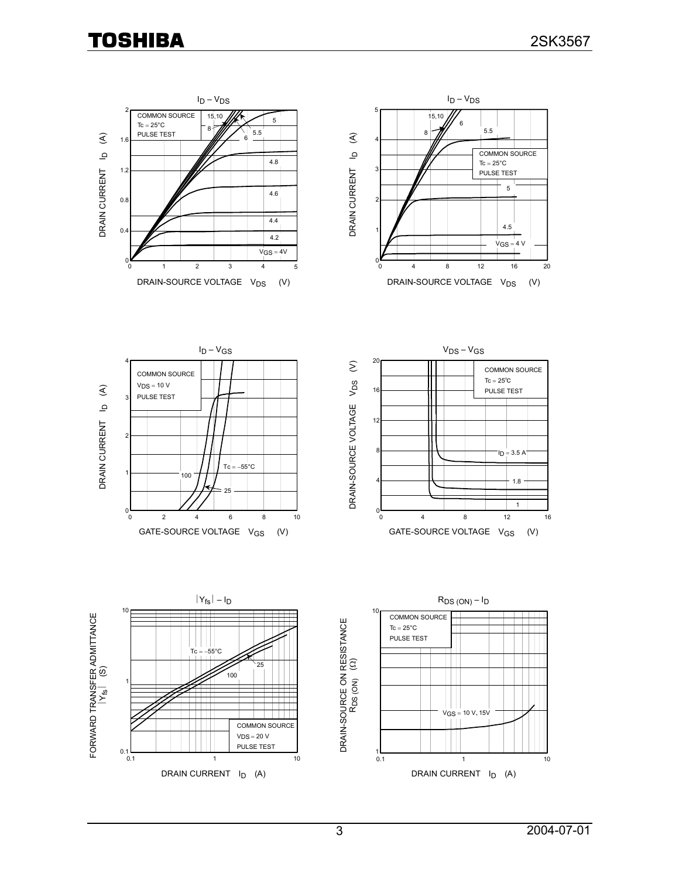# **TOSHIBA**

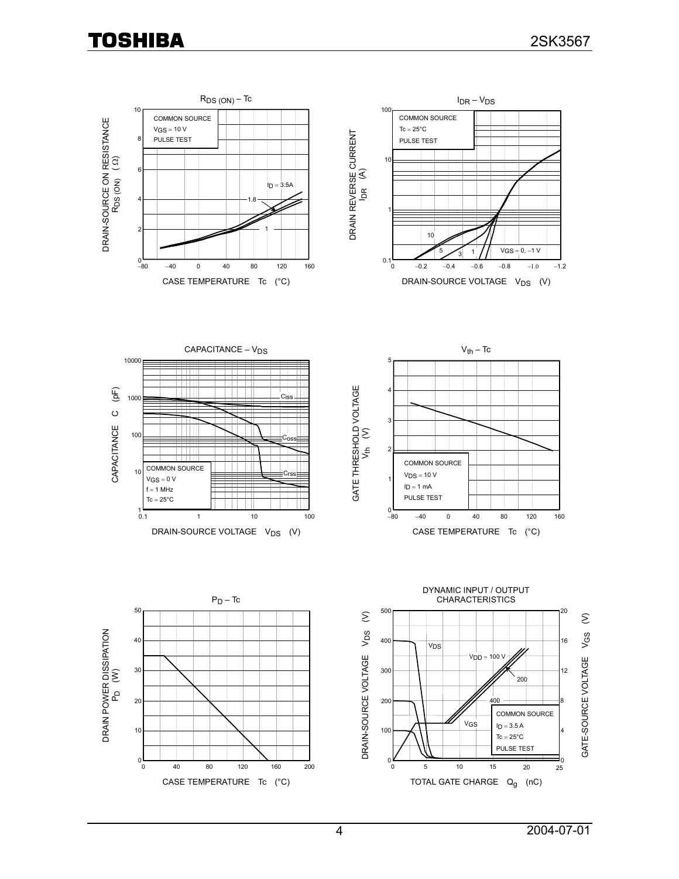**TOSHIBA** 

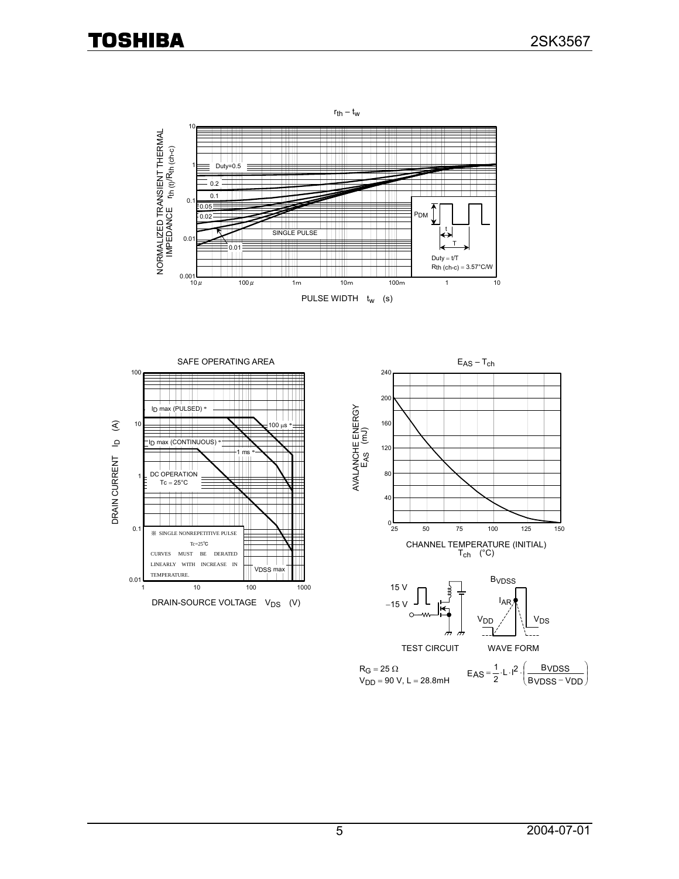